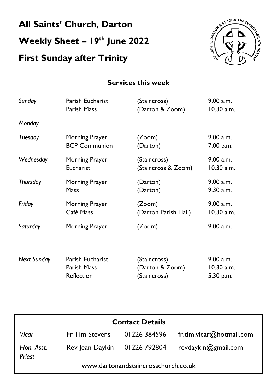# **All Saints' Church, Darton Weekly Sheet – 19 th June 2022 First Sunday after Trinity**



## **Services this week**

| Sunday      | Parish Eucharist          | (Staincross)                                    | 9.00 a.m.                 |
|-------------|---------------------------|-------------------------------------------------|---------------------------|
|             | Parish Mass               | (Darton & Zoom)                                 | 10.30 a.m.                |
| Monday      |                           |                                                 |                           |
| Tuesday     | Morning Prayer            | (Zoom)                                          | 9.00 a.m.                 |
|             | <b>BCP Communion</b>      | (Darton)                                        | 7.00 p.m.                 |
| Wednesday   | Morning Prayer            | (Staincross)                                    | 9.00 a.m.                 |
|             | Eucharist                 | (Staincross & Zoom)                             | $10.30$ a.m.              |
| Thursday    | Morning Prayer            | (Darton)                                        | 9.00 a.m.                 |
|             | Mass                      | (Darton)                                        | 9.30 a.m.                 |
| Friday      | Morning Prayer            | (Zoom)                                          | 9.00 a.m.                 |
|             | Café Mass                 | (Darton Parish Hall)                            | $10.30$ a.m.              |
| Saturday    | Morning Prayer            | (Zoom)                                          | 9.00 a.m.                 |
| Next Sunday | Parish Eucharist          |                                                 | 9.00 a.m.                 |
|             | Parish Mass<br>Reflection | (Staincross)<br>(Darton & Zoom)<br>(Staincross) | $10.30$ a.m.<br>5.30 p.m. |

| <b>Contact Details</b>              |                       |              |                          |  |  |
|-------------------------------------|-----------------------|--------------|--------------------------|--|--|
| Vicar                               | <b>Fr Tim Stevens</b> | 01226 384596 | fr.tim.vicar@hotmail.com |  |  |
| Hon. Asst.<br>Priest                | Rev Jean Daykin       | 01226 792804 | revdaykin@gmail.com      |  |  |
| www.dartonandstaincrosschurch.co.uk |                       |              |                          |  |  |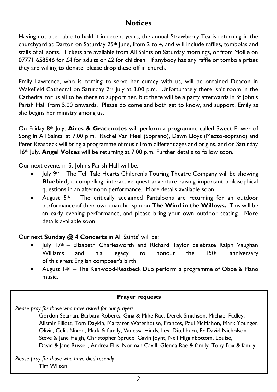## **Notices**

Having not been able to hold it in recent years, the annual Strawberry Tea is returning in the churchyard at Darton on Saturday  $25th$  June, from 2 to 4, and will include raffles, tombolas and stalls of all sorts. Tickets are available from All Saints on Saturday mornings, or from Mollie on 07771 658546 for  $\angle 4$  for adults or  $\angle 2$  for children. If anybody has any raffle or tombola prizes they are willing to donate, please drop these off in church.

Emily Lawrence, who is coming to serve her curacy with us, will be ordained Deacon in Wakefield Cathedral on Saturday  $2^{nd}$  July at 3.00 p.m. Unfortunately there isn't room in the Cathedral for us all to be there to support her, but there will be a party afterwards in St John's Parish Hall from 5.00 onwards. Please do come and both get to know, and support, Emily as she begins her ministry among us.

On Friday 8th July, **Aires & Gracenotes** will perform a programme called Sweet Power of Song in All Saints' at 7.00 p.m. Rachel Van Heel (Soprano), Dawn Lloys (Mezzo-soprano) and Peter Reasbeck will bring a programme of music from different ages and origins, and on Saturday 16th July, **Angel Voices** will be returning at 7.00 p.m. Further details to follow soon.

Our next events in St John's Parish Hall will be:

- July 9th The Tell Tale Hearts Children's Touring Theatre Company will be showing **Bluebird,** a compelling, interactive quest adventure raising important philosophical questions in an afternoon performance. More details available soon.
- August  $5<sup>th</sup>$  The critically acclaimed Pantaloons are returning for an outdoor performance of their own anarchic spin on **The Wind in the Willows.** This will be an early evening performance, and please bring your own outdoor seating. More details available soon.

Our next **Sunday @ 4 Concerts** in All Saints' will be:

- July 17th Elizabeth Charlesworth and Richard Taylor celebrate Ralph Vaughan Williams and his legacy to honour the  $150<sup>th</sup>$  anniversary of this great English composer's birth.
- August 14th The Kenwood-Reasbeck Duo perform a programme of Oboe & Piano music.

#### **Prayer requests**

*Please pray for those who have asked for our prayers*

Gordon Seaman, Barbara Roberts, Gina & Mike Rae, Derek Smithson, Michael Padley, Alistair Elliott, Tom Daykin, Margaret Waterhouse, Frances, Paul McMahon, Mark Younger, Olivia, Celia Nixon, Mark & family, Vanessa Hinds, Levi Ditchburn, Fr David Nicholson, Steve & Jane Haigh, Christopher Spruce, Gavin Joynt, Neil Higginbottom, Louise, David & Jane Russell, Andrea Ellis, Norman Cavill, Glenda Rae & family. Tony Fox & family

*Please pray for those who have died recently* Tim Wilson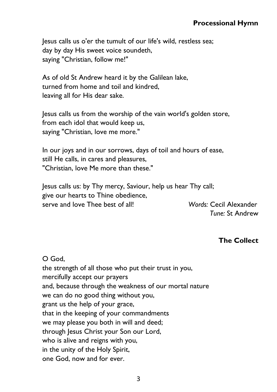### **Processional Hymn**

Jesus calls us o'er the tumult of our life's wild, restless sea; day by day His sweet voice soundeth, saying "Christian, follow me!"

As of old St Andrew heard it by the Galilean lake, turned from home and toil and kindred, leaving all for His dear sake.

Jesus calls us from the worship of the vain world's golden store, from each idol that would keep us, saying "Christian, love me more."

In our joys and in our sorrows, days of toil and hours of ease, still He calls, in cares and pleasures, "Christian, love Me more than these."

Jesus calls us: by Thy mercy, Saviour, help us hear Thy call; give our hearts to Thine obedience, serve and love Thee best of all! *Words:* Cecil Alexander

*Tune:* St Andrew

## **The Collect**

O God, the strength of all those who put their trust in you, mercifully accept our prayers and, because through the weakness of our mortal nature we can do no good thing without you, grant us the help of your grace, that in the keeping of your commandments we may please you both in will and deed; through Jesus Christ your Son our Lord, who is alive and reigns with you, in the unity of the Holy Spirit, one God, now and for ever.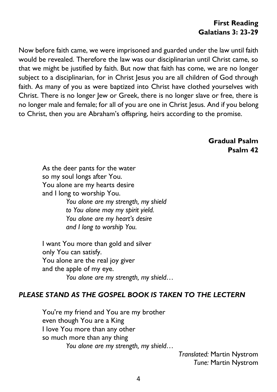Now before faith came, we were imprisoned and guarded under the law until faith would be revealed. Therefore the law was our disciplinarian until Christ came, so that we might be justified by faith. But now that faith has come, we are no longer subject to a disciplinarian, for in Christ Jesus you are all children of God through faith. As many of you as were baptized into Christ have clothed yourselves with Christ. There is no longer Jew or Greek, there is no longer slave or free, there is no longer male and female; for all of you are one in Christ Jesus. And if you belong to Christ, then you are Abraham's offspring, heirs according to the promise.

## **Gradual Psalm Psalm 42**

As the deer pants for the water so my soul longs after You. You alone are my hearts desire and I long to worship You. *You alone are my strength, my shield to You alone may my spirit yield. You alone are my heart's desire and I long to worship You.*

I want You more than gold and silver only You can satisfy. You alone are the real joy giver and the apple of my eye. *You alone are my strength, my shield…*

#### *PLEASE STAND AS THE GOSPEL BOOK IS TAKEN TO THE LECTERN*

You're my friend and You are my brother even though You are a King I love You more than any other so much more than any thing *You alone are my strength, my shield…*

> *Translated:* Martin Nystrom  *Tune:* Martin Nystrom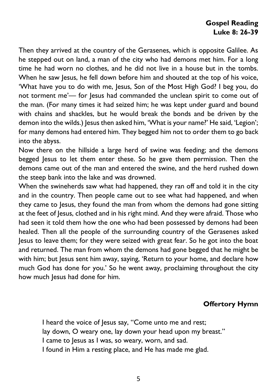Then they arrived at the country of the Gerasenes, which is opposite Galilee. As he stepped out on land, a man of the city who had demons met him. For a long time he had worn no clothes, and he did not live in a house but in the tombs. When he saw Jesus, he fell down before him and shouted at the top of his voice, 'What have you to do with me, Jesus, Son of the Most High God? I beg you, do not torment me'— for Jesus had commanded the unclean spirit to come out of the man. (For many times it had seized him; he was kept under guard and bound with chains and shackles, but he would break the bonds and be driven by the demon into the wilds.) Jesus then asked him, 'What is your name?' He said, 'Legion'; for many demons had entered him. They begged him not to order them to go back into the abyss.

Now there on the hillside a large herd of swine was feeding; and the demons begged Jesus to let them enter these. So he gave them permission. Then the demons came out of the man and entered the swine, and the herd rushed down the steep bank into the lake and was drowned.

When the swineherds saw what had happened, they ran off and told it in the city and in the country. Then people came out to see what had happened, and when they came to Jesus, they found the man from whom the demons had gone sitting at the feet of Jesus, clothed and in his right mind. And they were afraid. Those who had seen it told them how the one who had been possessed by demons had been healed. Then all the people of the surrounding country of the Gerasenes asked Jesus to leave them; for they were seized with great fear. So he got into the boat and returned. The man from whom the demons had gone begged that he might be with him; but Jesus sent him away, saying, 'Return to your home, and declare how much God has done for you.' So he went away, proclaiming throughout the city how much Jesus had done for him.

#### **Offertory Hymn**

I heard the voice of Jesus say, "Come unto me and rest; lay down, O weary one, lay down your head upon my breast." I came to Jesus as I was, so weary, worn, and sad. I found in Him a resting place, and He has made me glad.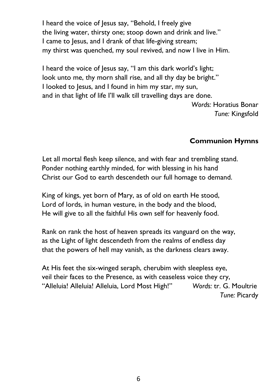I heard the voice of Jesus say, "Behold, I freely give the living water, thirsty one; stoop down and drink and live." I came to Jesus, and I drank of that life-giving stream; my thirst was quenched, my soul revived, and now I live in Him.

I heard the voice of Jesus say, "I am this dark world's light; look unto me, thy morn shall rise, and all thy day be bright." I looked to Jesus, and I found in him my star, my sun, and in that light of life I'll walk till travelling days are done.

*Words:* Horatius Bonar *Tune:* Kingsfold

## **Communion Hymns**

Let all mortal flesh keep silence, and with fear and trembling stand. Ponder nothing earthly minded, for with blessing in his hand Christ our God to earth descendeth our full homage to demand.

King of kings, yet born of Mary, as of old on earth He stood, Lord of lords, in human vesture, in the body and the blood, He will give to all the faithful His own self for heavenly food.

Rank on rank the host of heaven spreads its vanguard on the way, as the Light of light descendeth from the realms of endless day that the powers of hell may vanish, as the darkness clears away.

At His feet the six-winged seraph, cherubim with sleepless eye, veil their faces to the Presence, as with ceaseless voice they cry, "Alleluia! Alleluia! Alleluia, Lord Most High!" *Words:* tr. G. Moultrie *Tune:* Picardy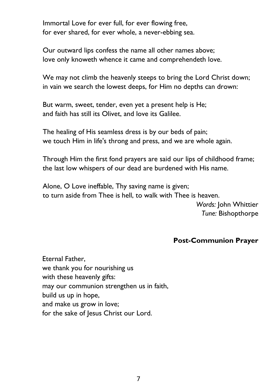Immortal Love for ever full, for ever flowing free, for ever shared, for ever whole, a never-ebbing sea.

Our outward lips confess the name all other names above; love only knoweth whence it came and comprehendeth love.

We may not climb the heavenly steeps to bring the Lord Christ down; in vain we search the lowest deeps, for Him no depths can drown:

But warm, sweet, tender, even yet a present help is He; and faith has still its Olivet, and love its Galilee.

The healing of His seamless dress is by our beds of pain; we touch Him in life's throng and press, and we are whole again.

Through Him the first fond prayers are said our lips of childhood frame; the last low whispers of our dead are burdened with His name.

Alone, O Love ineffable, Thy saving name is given; to turn aside from Thee is hell, to walk with Thee is heaven.

*Words:* John Whittier *Tune:* Bishopthorpe

#### **Post-Communion Prayer**

Eternal Father, we thank you for nourishing us with these heavenly gifts: may our communion strengthen us in faith, build us up in hope, and make us grow in love; for the sake of Jesus Christ our Lord.